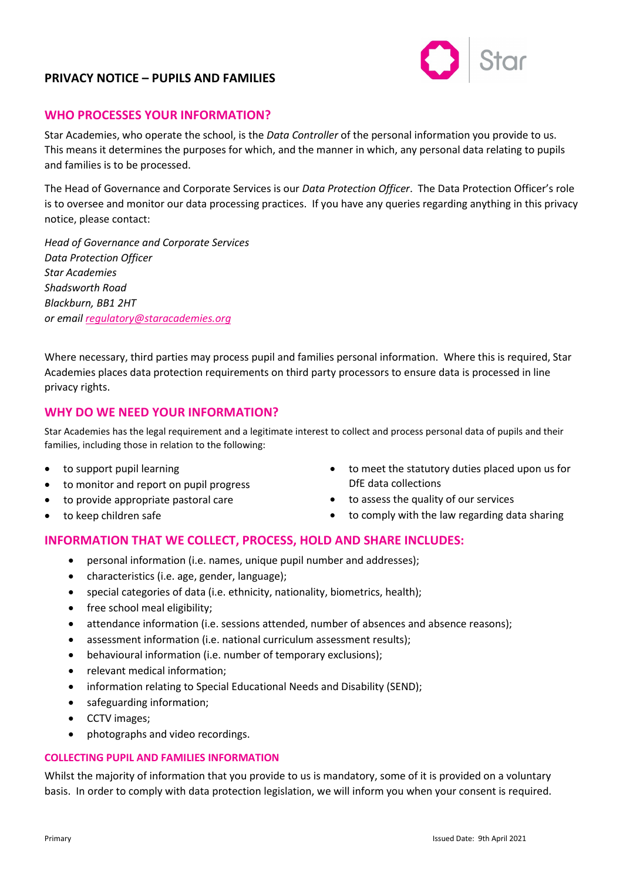

### **WHO PROCESSES YOUR INFORMATION?**

Star Academies, who operate the school, is the *Data Controller* of the personal information you provide to us. This means it determines the purposes for which, and the manner in which, any personal data relating to pupils and families is to be processed.

The Head of Governance and Corporate Services is our *Data Protection Officer*. The Data Protection Officer's role is to oversee and monitor our data processing practices. If you have any queries regarding anything in this privacy notice, please contact:

*Head of Governance and Corporate Services Data Protection Officer Star Academies Shadsworth Road Blackburn, BB1 2HT or emai[l regulatory@staracademies.org](mailto:regulatory@staracademies.org)*

Where necessary, third parties may process pupil and families personal information. Where this is required, Star Academies places data protection requirements on third party processors to ensure data is processed in line privacy rights.

### **WHY DO WE NEED YOUR INFORMATION?**

Star Academies has the legal requirement and a legitimate interest to collect and process personal data of pupils and their families, including those in relation to the following:

- to support pupil learning
- to monitor and report on pupil progress
- to provide appropriate pastoral care
- to keep children safe
- to meet the statutory duties placed upon us for DfE data collections
- to assess the quality of our services
- to comply with the law regarding data sharing

# **INFORMATION THAT WE COLLECT, PROCESS, HOLD AND SHARE INCLUDES:**

- personal information (i.e. names, unique pupil number and addresses);
- characteristics (i.e. age, gender, language);
- special categories of data (i.e. ethnicity, nationality, biometrics, health);
- free school meal eligibility;
- attendance information (i.e. sessions attended, number of absences and absence reasons);
- assessment information (i.e. national curriculum assessment results);
- behavioural information (i.e. number of temporary exclusions);
- relevant medical information;
- information relating to Special Educational Needs and Disability (SEND);
- safeguarding information;
- CCTV images;
- photographs and video recordings.

#### **COLLECTING PUPIL AND FAMILIES INFORMATION**

Whilst the majority of information that you provide to us is mandatory, some of it is provided on a voluntary basis. In order to comply with data protection legislation, we will inform you when your consent is required.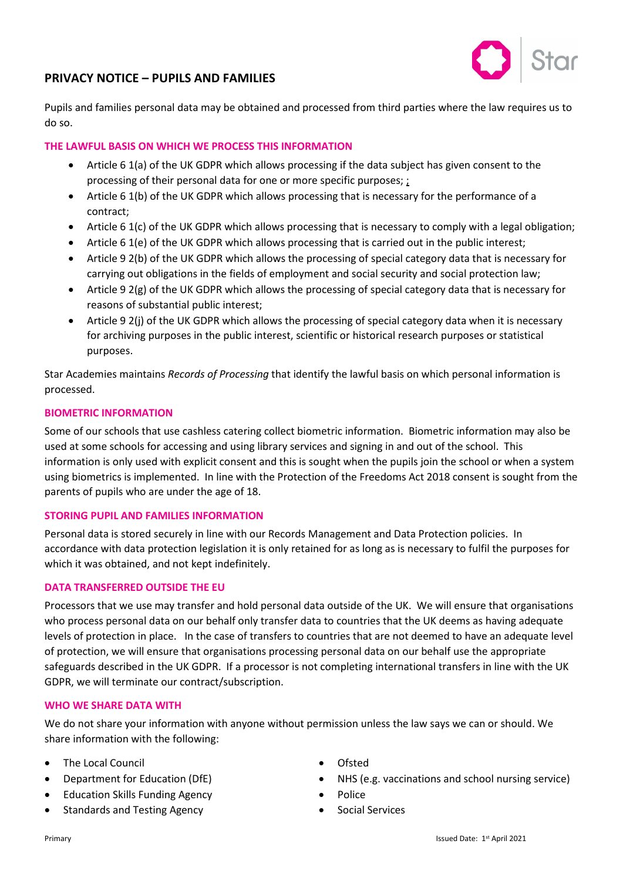

Pupils and families personal data may be obtained and processed from third parties where the law requires us to do so.

### **THE LAWFUL BASIS ON WHICH WE PROCESS THIS INFORMATION**

- Article 6 1(a) of the UK GDPR which allows processing if the data subject has given consent to the processing of their personal data for one or more specific purposes; ;
- Article 6 1(b) of the UK GDPR which allows processing that is necessary for the performance of a contract;
- Article 6 1(c) of the UK GDPR which allows processing that is necessary to comply with a legal obligation;
- Article 6 1(e) of the UK GDPR which allows processing that is carried out in the public interest;
- Article 9 2(b) of the UK GDPR which allows the processing of special category data that is necessary for carrying out obligations in the fields of employment and social security and social protection law;
- Article 9 2(g) of the UK GDPR which allows the processing of special category data that is necessary for reasons of substantial public interest;
- Article 9 2(j) of the UK GDPR which allows the processing of special category data when it is necessary for archiving purposes in the public interest, scientific or historical research purposes or statistical purposes.

Star Academies maintains *Records of Processing* that identify the lawful basis on which personal information is processed.

#### **BIOMETRIC INFORMATION**

Some of our schools that use cashless catering collect biometric information. Biometric information may also be used at some schools for accessing and using library services and signing in and out of the school. This information is only used with explicit consent and this is sought when the pupils join the school or when a system using biometrics is implemented. In line with the Protection of the Freedoms Act 2018 consent is sought from the parents of pupils who are under the age of 18.

#### **STORING PUPIL AND FAMILIES INFORMATION**

Personal data is stored securely in line with our Records Management and Data Protection policies. In accordance with data protection legislation it is only retained for as long as is necessary to fulfil the purposes for which it was obtained, and not kept indefinitely.

#### **DATA TRANSFERRED OUTSIDE THE EU**

Processors that we use may transfer and hold personal data outside of the UK. We will ensure that organisations who process personal data on our behalf only transfer data to countries that the UK deems as having adequate levels of protection in place. In the case of transfers to countries that are not deemed to have an adequate level of protection, we will ensure that organisations processing personal data on our behalf use the appropriate safeguards described in the UK GDPR. If a processor is not completing international transfers in line with the UK GDPR, we will terminate our contract/subscription.

#### **WHO WE SHARE DATA WITH**

We do not share your information with anyone without permission unless the law says we can or should. We share information with the following:

- The Local Council
- Department for Education (DfE)
- Education Skills Funding Agency
- Standards and Testing Agency
- Ofsted
- NHS (e.g. vaccinations and school nursing service)
- Police
- Social Services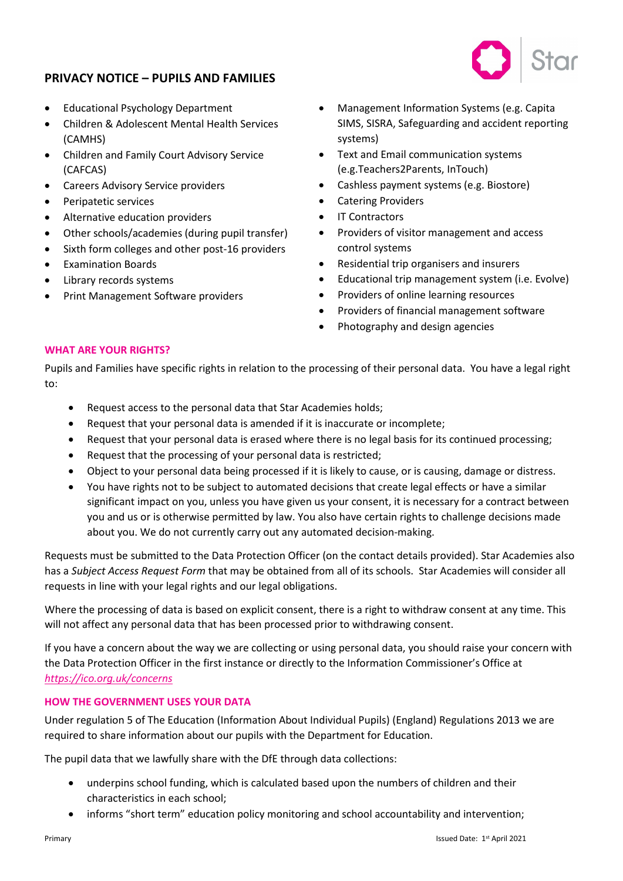

- Educational Psychology Department
- Children & Adolescent Mental Health Services (CAMHS)
- Children and Family Court Advisory Service (CAFCAS)
- Careers Advisory Service providers
- Peripatetic services
- Alternative education providers
- Other schools/academies (during pupil transfer)
- Sixth form colleges and other post-16 providers
- Examination Boards
- Library records systems
- Print Management Software providers
- Management Information Systems (e.g. Capita SIMS, SISRA, Safeguarding and accident reporting systems)
- Text and Email communication systems (e.g.Teachers2Parents, InTouch)
- Cashless payment systems (e.g. Biostore)
- Catering Providers
- IT Contractors
- Providers of visitor management and access control systems
- Residential trip organisers and insurers
- Educational trip management system (i.e. Evolve)
- Providers of online learning resources
- Providers of financial management software
- Photography and design agencies

#### **WHAT ARE YOUR RIGHTS?**

Pupils and Families have specific rights in relation to the processing of their personal data. You have a legal right to:

- Request access to the personal data that Star Academies holds;
- Request that your personal data is amended if it is inaccurate or incomplete;
- Request that your personal data is erased where there is no legal basis for its continued processing;
- Request that the processing of your personal data is restricted;
- Object to your personal data being processed if it is likely to cause, or is causing, damage or distress.
- You have rights not to be subject to automated decisions that create legal effects or have a similar significant impact on you, unless you have given us your consent, it is necessary for a contract between you and us or is otherwise permitted by law. You also have certain rights to challenge decisions made about you. We do not currently carry out any automated decision-making.

Requests must be submitted to the Data Protection Officer (on the contact details provided). Star Academies also has a *Subject Access Request Form* that may be obtained from all of its schools. Star Academies will consider all requests in line with your legal rights and our legal obligations.

Where the processing of data is based on explicit consent, there is a right to withdraw consent at any time. This will not affect any personal data that has been processed prior to withdrawing consent.

If you have a concern about the way we are collecting or using personal data, you should raise your concern with the Data Protection Officer in the first instance or directly to the Information Commissioner's Office at *<https://ico.org.uk/concerns>*

#### **HOW THE GOVERNMENT USES YOUR DATA**

Under regulation 5 of The Education (Information About Individual Pupils) (England) Regulations 2013 we are required to share information about our pupils with the Department for Education.

The pupil data that we lawfully share with the DfE through data collections:

- underpins school funding, which is calculated based upon the numbers of children and their characteristics in each school;
- informs "short term" education policy monitoring and school accountability and intervention;